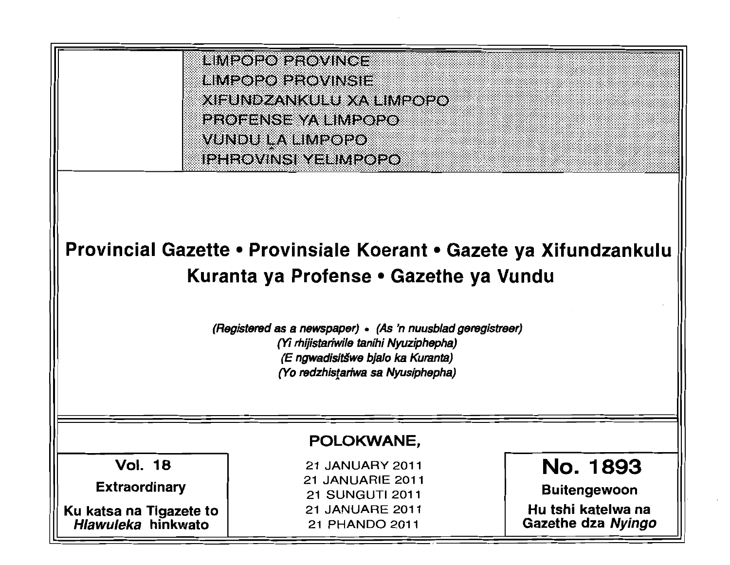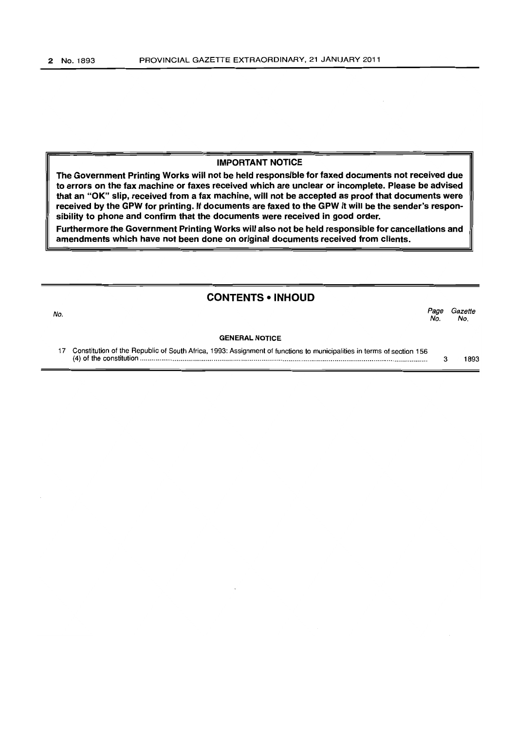### IMPORTANT NOTICE

The Government Printing Works will not be held responsible for faxed documents not received due to errors on the fax machine or faxes received which are unclear or incomplete. Please be advised that an "OK" slip, received from a fax machine, will not be accepted as proof that documents were received by the GPW for printing. If documents are faxed to the GPW it will be the sender's responsibility to phone and confirm that the documents were received in good order.

Furthermore the Government Printing Works will also not be held responsible for cancellations and amendments which have not been done on original documents received from clients.

## CONTENTS • INHOUD

No. Page Gazette No. No. GENERAL NOTICE

17 Constitution of the Republic of South Africa, 1993: Assignment of functions to municipalities in terms of section 156 (4) of the constitution .................................................................................................................................................... . 3 1893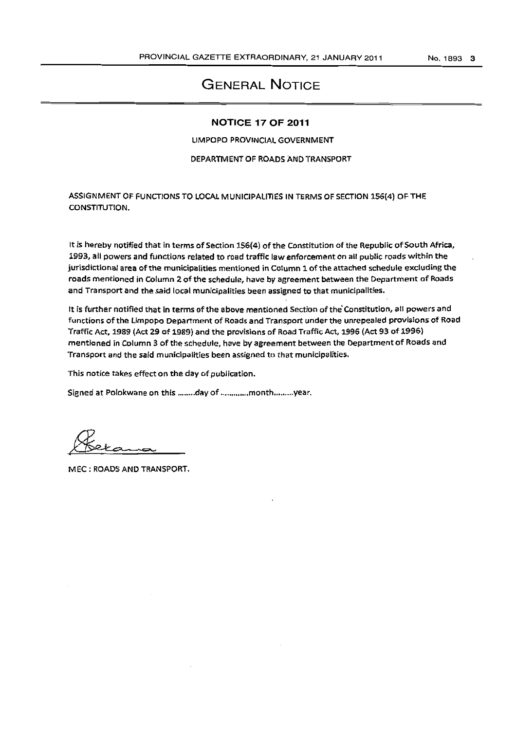# GENERAL NOTICE

#### **NOTICE 17 OF** 2011

LIMPOPO PROVINCIAL GOVERNMENT

#### DEPARTMENT OF ROADS AND TRANSPORT

ASSIGNMENT OF FUNCTIONS TO LOCAL MUNICIPALITIES IN TERMS OF SECTION 156(4) OF THE CONSTITUTION.

It is hereby notified that in terms of Section 156(4) of the Constitution of the Republic of South Africa, 1993, all powers and functions related to road traffic law enforcement on all public roads within the jurisdictional area of the municipalities mentioned in Column 1 of the attached schedule excluding the roads mentioned in Column 2 of the schedule, have by agreement between the Department of Roads and Transport and the said local municipalities been assigned to that municipalities.

It is further notified that in terms of the above mentioned Section ofthe'Constitution, all powers and functions of the Limpopo Department of Roads and Transport under-the unrepealed provi5ions of Road Traffic Act. 1989 (Act 29 of 1989) and the provisions of Road Traffic Act. 1996 (Act 93 of 1996) mentioned in Column 3 of the schedule, have by agreement between the Department of Roads and Transport and the said municipalities been assigned to that municipalities.

This notice takes effect on the day of publication.

Signed at Polokwane on this ........day of .............month..........year.

MEC: ROADS AND TRANSPORT.